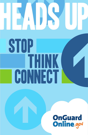# **HEADS** stop think **CONNECT**

## **OnGuard<br>Online.gov**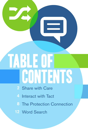## table of **CONTENTS**

- 2 Share with Care
- 4 Interact with Tact
- 8 The Protection Connection
- 12 Word Search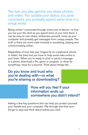You text, you play games, you share photos and video. You update your status, you post comments, you probably spend some time in a virtual world.

Being online—connected through some sort of device—is how you live your life. And as you spend more of your time there, it can be easy to over-share, embarrass yourself, mess up your computer and possibly get messages from creepy people. The truth is there are some risks involved in socializing, playing and communicating online.

Regardless of how fast your fingers fly on a keyboard, phone or tablet, the best tool you have to help avoid risks online is your brain. When you're ready to post or send a message or a photo, download a file, game or program, or shop for something—stop for a second. Think about things like:

Do you know and trust who you're dealing with—or what you're sharing or downloading?

> How will you feel if your information ends up somewhere you didn't intend?

Asking a few key questions first can help you protect yourself, your friends and your computer. Flip through and find more things to stop and think about before you click.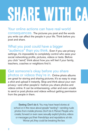# SHARE WITH CA

Your online actions can have real-world consequences. The pictures you post and the words you write can affect the people in your life. Think before you post and share.

What you post could have a bigger "audience" than you think. Even if you use privacy settings, it's impossible to completely control who sees your social networking profile, pictures, videos or texts. Before you click "send," think about how you will feel if your family, teachers, coaches or neighbors find it.

Get someone's okay before you share photos or videos they're in. Online photo albums are great for storing and sharing pictures. It's so easy to snap a shot and upload it instantly. Stop and think about your own privacy—and other people's—before you share photos and videos online. It can be embarrassing, unfair and even unsafe to send or post photos and videos without getting permission from the people in them.

Sexting: Don't do it. You may have heard stories at school or in the news about people "sexting"—sending nude photos from mobile phones. Don't do it. Period. People who create, forward or even save sexually explicit photos, videos or messages put their friendships and reputations at risk. Worse yet, they could be breaking the law.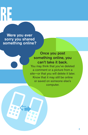RE

Were you ever sorry you shared something online?

#### Once you post something online, you can't take it back.

You may think that you've deleted a comment or a picture from a site—or that you will delete it later. Know that it may still be online or saved on someone else's computer.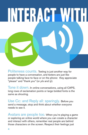Politeness counts. Texting is just another way for people to have a conversation, and texters are just like people talking face-to-face or on the phone: they appreciate "please" and "thank you" (or *pls* and *ty*).

INTERACT WITH

Tone it down. In online conversations, using all CAPS, long rows of exclamation points or large bolded fonts is the same as shouting.

Use Cc: and Reply all: sparingly. Before you send a message, stop and think about whether everyone needs to see it.

Avatars are people too. When you're playing a game or exploring an online world where you can create a character and interact with others, remember real people are behind those characters on the screen. Respect their feelings just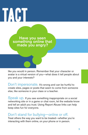# **INTERACT WITH TACTURE**

Have you seen something online that made you angry?

like you would in person. Remember that your character or avatar is a virtual version of you—what does it tell people about you and your interests?

Don't impersonate. It's wrong and can be hurtful to create sites, pages or posts that seem to come from someone else, like someone in your class or a teacher.

Speak up. If you see something inappropriate on a social networking site or in a game or chat room, let the website know and tell an adult you trust. Using Report Abuse links can help keep sites fun for everyone.

### Don't stand for bullying—online or off.

Treat others the way you want to be treated—whether you're interacting with them online, on your phone or in person.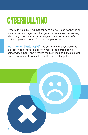## CYBErBULLYING

Cyberbullying is bullying that happens online. It can happen in an email, a text message, an online game or on a social networking site. It might involve rumors or images posted on someone's profile or passed around for other people to see.

You know that, right? So you know that cyberbullying is a lose-lose proposition: it often makes the person being harassed feel bad—and it makes the bully look bad. It also might lead to punishment from school authorities or the police.

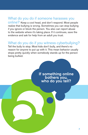#### What do you do if someone harasses you

online? Keep a cool head, and don't respond. Most people realize that bullying is wrong. Sometimes you can stop bullying if you ignore or block the person. You also can report abuse to the website where it's taking place. If it continues, save the evidence and ask for help from an adult you trust.

What do you do if you witness cyberbullying? Tell the bully to stop. Most kids don't bully, and there's no reason for anyone to put up with it. This mean behavior usually stops pretty quickly when somebody stands up for the person

being bullied.

If something online bothers you, who do you tell?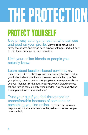# THE PROTECTION

## PROTECT YOURSELF

Use privacy settings to restrict who can see and post on your profile. Many social networking sites, chat rooms and blogs have privacy settings. Find out how to turn these settings on, and then do it.

### Limit your online friends to people you actually know.

Learn about location-based services. Many phones have GPS technology, and there are applications that let you find out where your friends are—and let them find you. Set your privacy settings so that only people you know personally can see your location. Think about keeping location-based services off, and turning them on only when needed. Ask yourself, "Does this app need to know where I am?"

Trust your gut if you feel threatened or uncomfortable because of someone or something you find online. Tell someone who can help you report your concerns to the police and other people who can help.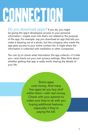## CONNECTION

Do you download apps? If you do, you might be giving the app's developers access to your personal information—maybe even info that's not related to the purpose of the app. For example, say you download an app that lets you make a drawing out of a photo, but the company who made the app gets access to your entire contact list. It might share the information it collected with marketers or other companies.

You can try to check what information the app collects—if it tells you—and check out your own privacy settings. Also think about whether getting that app is really worth sharing the details of your life.

> Some apps cost money. And many free apps let you buy stuff within them—with real money. Check with your parents to make sure they're ok with you buying additional features, especially if they're paying the bill.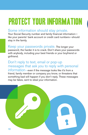## PROTECT YOUR INFORMATION

### Some information should stay private.

Your Social Security number and family financial information like your parents' bank account or credit card numbers—should stay in the family.

Keep your passwords private. The longer your password, the harder it is to crack. Don't share your passwords with anybody, including your best friends or your boyfriend or girlfriend.

#### Don't reply to text, email or pop-up messages that ask you to reply with personal information—even if the message looks like it's from a friend, family member or company you know, or threatens that something bad will happen if you don't reply. These messages may be fakes, sent to steal your information.

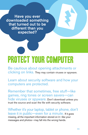Have you ever downloaded something that turned out to be different than you expected?

## Protect YOUR COMPUTER

Be cautious about opening attachments or clicking on links. They may contain viruses or spyware.

Learn about security software and how your computers are protected.

Remember that sometimes, free stuff—like games, ring tones or screen savers—can hide viruses or spyware. Don't download unless you trust the source and scan the file with security software.

Whether it's your laptop, tablet or phone, don't leave it in public—even for a minute. If it goes missing, all the important information stored on it—like your messages and photos—may fall into the wrong hands.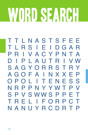# WORD SEARCH

TTLNASTSFEE LRSIEIDGAR Τ P I V A C Y P N T A R PLAUTRIVW D I SAGYORRST R Y **AGOFAINXXE** P POLITENESS  $\bigcirc$ NRPPNYYWT P V **VSWWSPP** S P FТ ELIFORPC R NANUYRCDRTP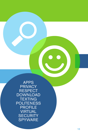APPS **PRIVACY RESPECT** DOWNLOAD **TEXTING POLITENESS** PROFILE **VIRTUAL SECURITY** SPYWARE